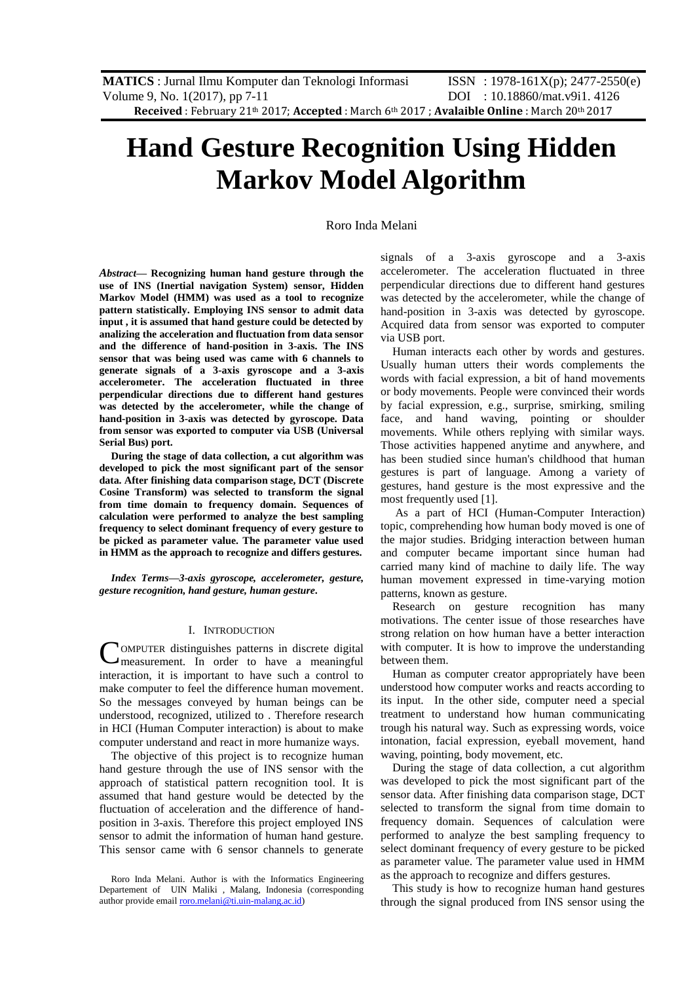# **Hand Gesture Recognition Using Hidden Markov Model Algorithm**

# Roro Inda Melani

*Abstract***— Recognizing human hand gesture through the use of INS (Inertial navigation System) sensor, Hidden Markov Model (HMM) was used as a tool to recognize pattern statistically. Employing INS sensor to admit data input , it is assumed that hand gesture could be detected by analizing the acceleration and fluctuation from data sensor and the difference of hand-position in 3-axis. The INS sensor that was being used was came with 6 channels to generate signals of a 3-axis gyroscope and a 3-axis accelerometer. The acceleration fluctuated in three perpendicular directions due to different hand gestures was detected by the accelerometer, while the change of hand-position in 3-axis was detected by gyroscope. Data from sensor was exported to computer via USB (Universal Serial Bus) port.** 

**During the stage of data collection, a cut algorithm was developed to pick the most significant part of the sensor data. After finishing data comparison stage, DCT (Discrete Cosine Transform) was selected to transform the signal from time domain to frequency domain. Sequences of calculation were performed to analyze the best sampling frequency to select dominant frequency of every gesture to be picked as parameter value. The parameter value used in HMM as the approach to recognize and differs gestures.** 

*Index Terms***—***3-axis gyroscope, accelerometer, gesture, gesture recognition, hand gesture, human gesture***.** 

#### I. INTRODUCTION

OMPUTER distinguishes patterns in discrete digital measurement. In order to have a meaningful interaction, it is important to have such a control to make computer to feel the difference human movement. So the messages conveyed by human beings can be understood, recognized, utilized to . Therefore research in HCI (Human Computer interaction) is about to make computer understand and react in more humanize ways. C

The objective of this project is to recognize human hand gesture through the use of INS sensor with the approach of statistical pattern recognition tool. It is assumed that hand gesture would be detected by the fluctuation of acceleration and the difference of handposition in 3-axis. Therefore this project employed INS sensor to admit the information of human hand gesture. This sensor came with 6 sensor channels to generate signals of a 3-axis gyroscope and a 3-axis accelerometer. The acceleration fluctuated in three perpendicular directions due to different hand gestures was detected by the accelerometer, while the change of hand-position in 3-axis was detected by gyroscope. Acquired data from sensor was exported to computer via USB port.

Human interacts each other by words and gestures. Usually human utters their words complements the words with facial expression, a bit of hand movements or body movements. People were convinced their words by facial expression, e.g., surprise, smirking, smiling face, and hand waving, pointing or shoulder movements. While others replying with similar ways. Those activities happened anytime and anywhere, and has been studied since human's childhood that human gestures is part of language. Among a variety of gestures, hand gesture is the most expressive and the most frequently used [1].

As a part of HCI (Human-Computer Interaction) topic, comprehending how human body moved is one of the major studies. Bridging interaction between human and computer became important since human had carried many kind of machine to daily life. The way human movement expressed in time-varying motion patterns, known as gesture.

Research on gesture recognition has many motivations. The center issue of those researches have strong relation on how human have a better interaction with computer. It is how to improve the understanding between them.

Human as computer creator appropriately have been understood how computer works and reacts according to its input. In the other side, computer need a special treatment to understand how human communicating trough his natural way. Such as expressing words, voice intonation, facial expression, eyeball movement, hand waving, pointing, body movement, etc.

During the stage of data collection, a cut algorithm was developed to pick the most significant part of the sensor data. After finishing data comparison stage, DCT selected to transform the signal from time domain to frequency domain. Sequences of calculation were performed to analyze the best sampling frequency to select dominant frequency of every gesture to be picked as parameter value. The parameter value used in HMM as the approach to recognize and differs gestures.

This study is how to recognize human hand gestures through the signal produced from INS sensor using the

Roro Inda Melani. Author is with the Informatics Engineering Departement of UIN Maliki , Malang, Indonesia (corresponding author provide emai[l roro.melani@ti.uin-malang.ac.id\)](mailto:roro.melani@ti.uin-malang.ac.id)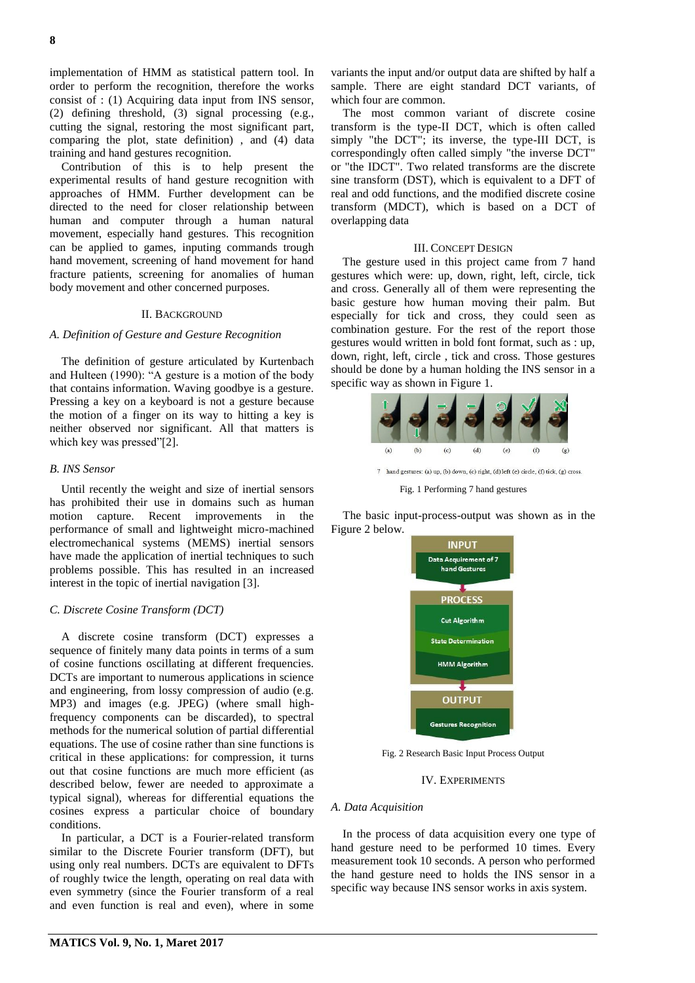implementation of HMM as statistical pattern tool. In order to perform the recognition, therefore the works consist of : (1) Acquiring data input from INS sensor, (2) defining threshold, (3) signal processing (e.g., cutting the signal, restoring the most significant part, comparing the plot, state definition) , and (4) data training and hand gestures recognition.

Contribution of this is to help present the experimental results of hand gesture recognition with approaches of HMM. Further development can be directed to the need for closer relationship between human and computer through a human natural movement, especially hand gestures. This recognition can be applied to games, inputing commands trough hand movement, screening of hand movement for hand fracture patients, screening for anomalies of human body movement and other concerned purposes.

# II. BACKGROUND

## *A. Definition of Gesture and Gesture Recognition*

The definition of gesture articulated by Kurtenbach and Hulteen (1990): "A gesture is a motion of the body that contains information. Waving goodbye is a gesture. Pressing a key on a keyboard is not a gesture because the motion of a finger on its way to hitting a key is neither observed nor significant. All that matters is which key was pressed"[2].

## *B. INS Sensor*

Until recently the weight and size of inertial sensors has prohibited their use in domains such as human motion capture. Recent improvements in the performance of small and lightweight micro-machined electromechanical systems (MEMS) inertial sensors have made the application of inertial techniques to such problems possible. This has resulted in an increased interest in the topic of inertial navigation [3].

# *C. Discrete Cosine Transform (DCT)*

A discrete cosine transform (DCT) expresses a sequence of finitely many data points in terms of a sum of cosine functions oscillating at different frequencies. DCTs are important to numerous applications in science and engineering, from lossy compression of audio (e.g. MP3) and images (e.g. JPEG) (where small highfrequency components can be discarded), to spectral methods for the numerical solution of partial differential equations. The use of cosine rather than sine functions is critical in these applications: for compression, it turns out that cosine functions are much more efficient (as described below, fewer are needed to approximate a typical signal), whereas for differential equations the cosines express a particular choice of boundary conditions.

In particular, a DCT is a Fourier-related transform similar to the Discrete Fourier transform (DFT), but using only real numbers. DCTs are equivalent to DFTs of roughly twice the length, operating on real data with even symmetry (since the Fourier transform of a real and even function is real and even), where in some

variants the input and/or output data are shifted by half a sample. There are eight standard DCT variants, of which four are common.

The most common variant of discrete cosine transform is the type-II DCT, which is often called simply "the DCT"; its inverse, the type-III DCT, is correspondingly often called simply "the inverse DCT" or "the IDCT". Two related transforms are the discrete sine transform (DST), which is equivalent to a DFT of real and odd functions, and the modified discrete cosine transform (MDCT), which is based on a DCT of overlapping data

### III. CONCEPT DESIGN

The gesture used in this project came from 7 hand gestures which were: up, down, right, left, circle, tick and cross. Generally all of them were representing the basic gesture how human moving their palm. But especially for tick and cross, they could seen as combination gesture. For the rest of the report those gestures would written in bold font format, such as : up, down, right, left, circle , tick and cross. Those gestures should be done by a human holding the INS sensor in a specific way as shown in Figure 1.



Fig. 1 Performing 7 hand gestures

The basic input-process-output was shown as in the Figure 2 below.



Fig. 2 Research Basic Input Process Output

IV. EXPERIMENTS

## *A. Data Acquisition*

In the process of data acquisition every one type of hand gesture need to be performed 10 times. Every measurement took 10 seconds. A person who performed the hand gesture need to holds the INS sensor in a specific way because INS sensor works in axis system.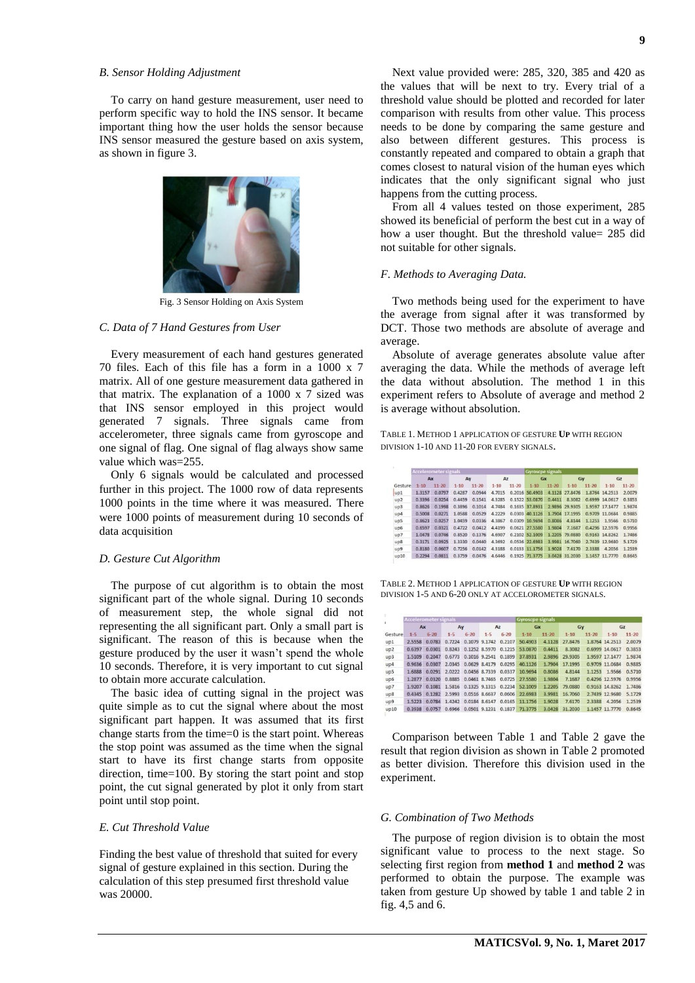# *B. Sensor Holding Adjustment*

To carry on hand gesture measurement, user need to perform specific way to hold the INS sensor. It became important thing how the user holds the sensor because INS sensor measured the gesture based on axis system, as shown in figure 3.



Fig. 3 Sensor Holding on Axis System

## *C. Data of 7 Hand Gestures from User*

Every measurement of each hand gestures generated 70 files. Each of this file has a form in a 1000 x 7 matrix. All of one gesture measurement data gathered in that matrix. The explanation of a 1000 x 7 sized was that INS sensor employed in this project would generated 7 signals. Three signals came from accelerometer, three signals came from gyroscope and one signal of flag. One signal of flag always show same value which was=255.

Only 6 signals would be calculated and processed further in this project. The 1000 row of data represents 1000 points in the time where it was measured. There were 1000 points of measurement during 10 seconds of data acquisition

### *D. Gesture Cut Algorithm*

The purpose of cut algorithm is to obtain the most significant part of the whole signal. During 10 seconds of measurement step, the whole signal did not representing the all significant part. Only a small part is significant. The reason of this is because when the gesture produced by the user it wasn't spend the whole 10 seconds. Therefore, it is very important to cut signal to obtain more accurate calculation.

The basic idea of cutting signal in the project was quite simple as to cut the signal where about the most significant part happen. It was assumed that its first change starts from the time=0 is the start point. Whereas the stop point was assumed as the time when the signal start to have its first change starts from opposite direction, time=100. By storing the start point and stop point, the cut signal generated by plot it only from start point until stop point.

#### *E. Cut Threshold Value*

Finding the best value of threshold that suited for every signal of gesture explained in this section. During the calculation of this step presumed first threshold value was 20000.

Next value provided were: 285, 320, 385 and 420 as the values that will be next to try. Every trial of a threshold value should be plotted and recorded for later comparison with results from other value. This process needs to be done by comparing the same gesture and also between different gestures. This process is constantly repeated and compared to obtain a graph that comes closest to natural vision of the human eyes which indicates that the only significant signal who just happens from the cutting process.

From all 4 values tested on those experiment, 285 showed its beneficial of perform the best cut in a way of how a user thought. But the threshold value= 285 did not suitable for other signals.

## *F. Methods to Averaging Data.*

Two methods being used for the experiment to have the average from signal after it was transformed by DCT. Those two methods are absolute of average and average.

Absolute of average generates absolute value after averaging the data. While the methods of average left the data without absolution. The method 1 in this experiment refers to Absolute of average and method 2 is average without absolution.

TABLE 1. METHOD 1 APPLICATION OF GESTURE **UP** WITH REGION DIVISION 1-10 AND 11-20 FOR EVERY SIGNALS.

|         | <b>Accelerometer signals</b> |           |          |           |                |           | <b>Gyroscpe signals</b> |           |                |           |                |           |
|---------|------------------------------|-----------|----------|-----------|----------------|-----------|-------------------------|-----------|----------------|-----------|----------------|-----------|
|         | Ax                           |           | Ay       |           | A <sub>Z</sub> |           | Gx                      |           | Gy             |           | GZ             |           |
| Gesture | $1 - 10$                     | $11 - 20$ | $1 - 10$ | $11 - 20$ | $1 - 10$       | $11 - 20$ | $1 - 10$                | $11 - 20$ | $1 - 10$       | $11 - 20$ | $1 - 10$       | $11 - 20$ |
| up1     | 1.3157                       | 0.0797    | 0.4287   | 0.0944    | 4.7015         | 0.2016    | 50,4903                 |           | 4,1128 27,8476 |           | 1,8764 14,2513 | 2.0079    |
| UD2     | 0.3396                       | 0.0254    | 0.4459   | 0.1541    | 4.3285         |           | 0.1522 53.0870          | 0.4411    | 8.3082         |           | 0.6999 14.0617 | 0.3853    |
| up3     | 0.8626                       | 0.1998    | 0.3896   | 0.1014    | 4,7484         |           | 0.1635 37.8931          | 2,9896    | 29.9305        |           | 1,9597 17,1477 | 1.9874    |
| up4     | 0.5008                       | 0.0271    | 1.0588   | 0.0529    | 4.2229         |           | 0.0303 40.1126          |           | 1,7904 17,1995 |           | 0.9709 11.0684 | 0.9885    |
| UD5     | 0.8623                       | 0.0257    | 1.0459   | 0.0336    | 4,3867         |           | 0.0309 10.9694          | 0.8086    | 4.8144         | 1.1253    | 1.9566         | 0.5710    |
| up6     | 0.6597                       | 0.0321    | 0.4722   | 0.0412    | 4,4199         |           | 0.0621 27,5580          | 1.9804    | 7.1687         |           | 0.4296 12.5976 | 0.9956    |
| up7     | 1.0478                       | 0.0746    | 0.8520   | 0.1376    | 4.6907         |           | 0.2102 52.1009          | 1.2205    | 79,0880        |           | 0.9163 14.8262 | 1.7486    |
| UD8     | 0.3171                       | 0.0925    | 1.3330   | 0.0440    | 4.3692         |           | 0.0536 22.6983          |           | 3,9981 16,7060 |           | 2,7439 12,9680 | 5.1729    |
| up9     | 0.8180                       | 0.0607    | 0.7256   | 0.0142    | 4,3188         |           | 0.0133 11.1756          | 1.9028    | 7.6170         | 2.3388    | 4.2056         | 1.2539    |
| up10    | 0.2294                       | 0.0811    | 0.3759   | 0.0476    | 4.6446         | 0.1925    | 71.3775                 | 3.0428    | 31,2030        |           | 1,1457 11,7770 | 0.8645    |

TABLE 2. METHOD 1 APPLICATION OF GESTURE **UP** WITH REGION DIVISION 1-5 AND 6-20 ONLY AT ACCELOROMETER SIGNALS.

|         | <b>Accelerometer signals</b> |               |         |               |         |                             | <b>Gyroscpe signals</b> |           |          |           |                |           |
|---------|------------------------------|---------------|---------|---------------|---------|-----------------------------|-------------------------|-----------|----------|-----------|----------------|-----------|
|         | Ax                           |               | Ay      |               | Az      |                             | Gx                      |           | Gy       |           | Gz             |           |
| Gesture | $1 - 5$                      | $6 - 20$      | $1 - 5$ | $6 - 20$      | $1 - 5$ | $6 - 20$                    | $1 - 10$                | $11 - 20$ | $1 - 10$ | $11 - 20$ | $1 - 10$       | $11 - 20$ |
| up1     | 2.5558                       | 0.0783        | 0.7224  |               |         | 0.1079 9.1742 0.2107        | 50,4903                 | 4.1128    | 27,8476  |           | 1,8764 14,2513 | 2.0079    |
| up2     | 0.6397                       | 0.0301        |         |               |         | 0.8243 0.1252 8.5970 0.1215 | 53.0870                 | 0.4411    | 8.3082   |           | 0.6999 14.0617 | 0.3853    |
| up3     | 1.5109                       | 0.2047        | 0.6773  |               |         | 0.1016 9.2541 0.1899        | 37.8931                 | 2.9896    | 29.9305  |           | 1,9597 17,1477 | 1.9874    |
| UD4     | 0.9636                       | 0.0307        |         |               |         | 2.0345 0.0629 8.4179 0.0295 | 40.1126                 | 1.7904    | 17.1995  |           | 0.9709 11.0684 | 0.9885    |
| up5     | 1.6888                       | 0.0291        |         |               |         | 2.0222 0.0456 8.7339 0.0337 | 10.9694                 | 0.8086    | 4.8144   | 1.1253    | 1.9566         | 0.5710    |
| up6     |                              | 1,2877 0.0320 |         |               |         | 0.8885 0.0461 8.7465 0.0725 | 27,5580                 | 1.9804    | 7.1687   |           | 0.4296 12.5976 | 0.9956    |
| UD7     | 1.9207                       | 0.1081        |         |               |         | 1.5816 0.1325 9.1315 0.2234 | 52.1009                 | 1.2205    | 79,0880  |           | 0.9163 14.8262 | 1.7486    |
| UD8     | 0.4345                       | 0.1282        |         |               |         | 2,5993 0.0516 8,6637 0.0606 | 22.6983                 | 3.9981    | 16,7060  |           | 2.7439 12.9680 | 5.1729    |
| up9     | 1.5223                       | 0.0784        |         |               |         | 1,4242 0,0184 8,6147 0,0165 | 11.1756                 | 1.9028    | 7.6170   | 2.3388    | 4.2056         | 1.2539    |
| up10    | 0.3938                       | 0.0757        | 0.6966  | 0.0501 9.1231 |         | 0.1837                      | 71.3775                 | 3.0428    | 31.2030  |           | 1.1457 11.7770 | 0.8645    |

Comparison between Table 1 and Table 2 gave the result that region division as shown in Table 2 promoted as better division. Therefore this division used in the experiment.

## *G. Combination of Two Methods*

The purpose of region division is to obtain the most significant value to process to the next stage. So selecting first region from **method 1** and **method 2** was performed to obtain the purpose. The example was taken from gesture Up showed by table 1 and table 2 in fig. 4,5 and 6.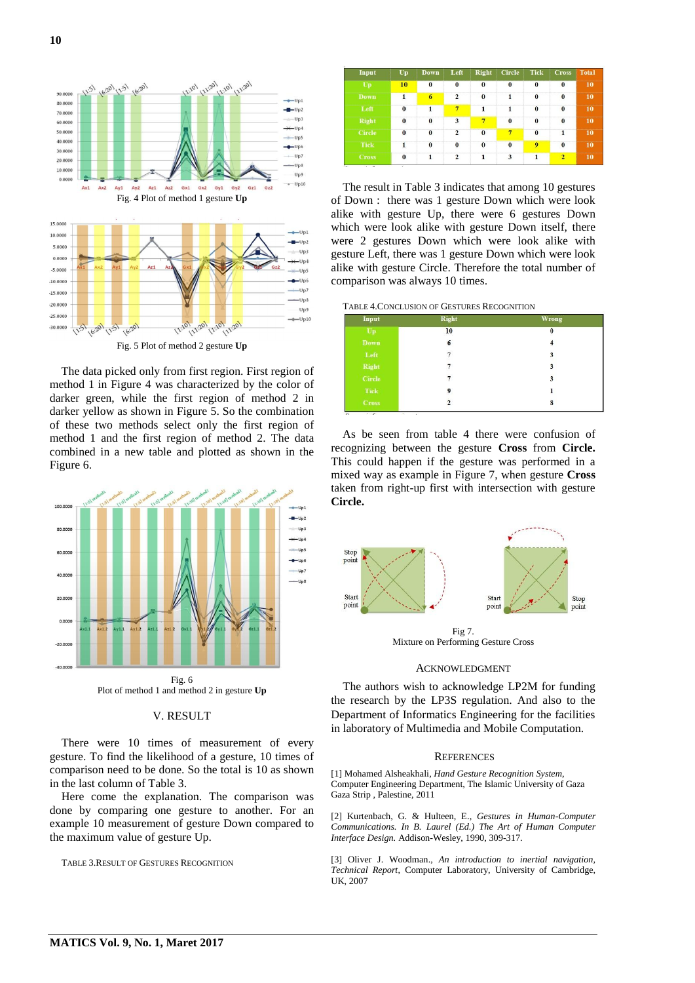

Fig. 5 Plot of method 2 gesture **Up**

The data picked only from first region. First region of method 1 in Figure 4 was characterized by the color of darker green, while the first region of method 2 in darker yellow as shown in Figure 5. So the combination of these two methods select only the first region of method 1 and the first region of method 2. The data combined in a new table and plotted as shown in the Figure 6.



# V. RESULT

There were 10 times of measurement of every gesture. To find the likelihood of a gesture, 10 times of comparison need to be done. So the total is 10 as shown in the last column of Table 3.

Here come the explanation. The comparison was done by comparing one gesture to another. For an example 10 measurement of gesture Down compared to the maximum value of gesture Up.

TABLE 3.RESULT OF GESTURES RECOGNITION

| Input         | Up           | <b>Down</b> | Left           | <b>Right</b> | <b>Circle</b>     | <b>Tick</b>    | <b>Cross</b>   | <b>Total</b> |
|---------------|--------------|-------------|----------------|--------------|-------------------|----------------|----------------|--------------|
| Up            | 10           | $\bf{0}$    | $\bf{0}$       | $\bf{0}$     | $\bf{0}$          | $\bf{0}$       | $\bf{0}$       | 10           |
| <b>Down</b>   | 1            | 6           | $\overline{2}$ | $\bf{0}$     | 1                 | $\bf{0}$       | $\bf{0}$       | 10           |
| Left          | $\theta$     | 1           | $\overline{7}$ | $\mathbf{1}$ | 1                 | $\mathbf{0}$   | $\bf{0}$       | 10           |
| <b>Right</b>  | $\bf{0}$     | $\bf{0}$    | 3              | 7            | $\bf{0}$          | $\bf{0}$       | $\bf{0}$       | 10           |
| <b>Circle</b> | $\bf{0}$     | $\bf{0}$    | $\overline{2}$ | $\bf{0}$     | $\overline{\tau}$ | $\bf{0}$       | 1              | 10           |
| <b>Tick</b>   | $\mathbf{1}$ | $\bf{0}$    | $\bf{0}$       | $\bf{0}$     | $\bf{0}$          | $\overline{9}$ | $\mathbf{0}$   | 10           |
| <b>Cross</b>  | $\bf{0}$     | 1           | $\overline{2}$ | 1            | 3                 | 1              | $\overline{2}$ | 10           |

The result in Table 3 indicates that among 10 gestures of Down : there was 1 gesture Down which were look alike with gesture Up, there were 6 gestures Down which were look alike with gesture Down itself, there were 2 gestures Down which were look alike with gesture Left, there was 1 gesture Down which were look alike with gesture Circle. Therefore the total number of comparison was always 10 times.

TABLE 4.CONCLUSION OF GESTURES RECOGNITION

| Input            | <b>Right</b>            | <b>Wrong</b>            |  |  |
|------------------|-------------------------|-------------------------|--|--|
| $U_{\mathbf{p}}$ | 10                      | $\bf{0}$                |  |  |
| Down             | $6\phantom{.0}$         | $\overline{\mathbf{4}}$ |  |  |
| ${\bf Left}$     | 7                       | 3                       |  |  |
| Right            | 7                       | 3                       |  |  |
| Circle           | $\tau$                  | 3                       |  |  |
| Tick             | 9                       | l                       |  |  |
| <b>Cross</b>     | $\overline{\mathbf{c}}$ | 8                       |  |  |

As be seen from table 4 there were confusion of recognizing between the gesture **Cross** from **Circle.**  This could happen if the gesture was performed in a mixed way as example in Figure 7, when gesture **Cross**  taken from right-up first with intersection with gesture **Circle.**



Fig 7. Mixture on Performing Gesture Cross

# ACKNOWLEDGMENT

The authors wish to acknowledge LP2M for funding the research by the LP3S regulation. And also to the Department of Informatics Engineering for the facilities in laboratory of Multimedia and Mobile Computation.

## **REFERENCES**

[1] Mohamed Alsheakhali, *Hand Gesture Recognition System*, Computer Engineering Department, The Islamic University of Gaza Gaza Strip , Palestine, 2011

[2] Kurtenbach, G. & Hulteen, E., *Gestures in Human-Computer Communications. In B. Laurel (Ed.) The Art of Human Computer Interface Design.* Addison-Wesley, 1990, 309-317.

[3] Oliver J. Woodman., *An introduction to inertial navigation, Technical Report*, Computer Laboratory, University of Cambridge, UK, 2007